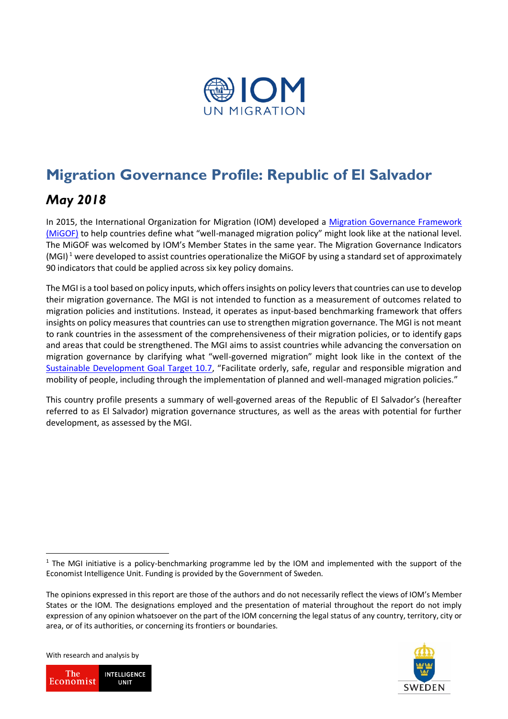

# **Migration Governance Profile: Republic of El Salvador**

## *May 2018*

In 2015, the International Organization for Migration (IOM) developed a [Migration Governance Framework](https://www.iom.int/sites/default/files/about-iom/migof_brochure_a4_en.pdf)  [\(MiGOF\)](https://www.iom.int/sites/default/files/about-iom/migof_brochure_a4_en.pdf) to help countries define what "well-managed migration policy" might look like at the national level. The MiGOF was welcomed by IOM's Member States in the same year. The Migration Governance Indicators (MGI)<sup>1</sup> were developed to assist countries operationalize the MiGOF by using a standard set of approximately 90 indicators that could be applied across six key policy domains.

The MGI is a tool based on policy inputs, which offers insights on policy levers that countries can use to develop their migration governance. The MGI is not intended to function as a measurement of outcomes related to migration policies and institutions. Instead, it operates as input-based benchmarking framework that offers insights on policy measures that countries can use to strengthen migration governance. The MGI is not meant to rank countries in the assessment of the comprehensiveness of their migration policies, or to identify gaps and areas that could be strengthened. The MGI aims to assist countries while advancing the conversation on migration governance by clarifying what "well-governed migration" might look like in the context of the [Sustainable Development Goal Target 10.7](https://migrationdataportal.org/sdgs#0), "Facilitate orderly, safe, regular and responsible migration and mobility of people, including through the implementation of planned and well-managed migration policies."

This country profile presents a summary of well-governed areas of the Republic of El Salvador's (hereafter referred to as El Salvador) migration governance structures, as well as the areas with potential for further development, as assessed by the MGI.

With research and analysis by

**.** 





 $1$  The MGI initiative is a policy-benchmarking programme led by the IOM and implemented with the support of the Economist Intelligence Unit. Funding is provided by the Government of Sweden.

The opinions expressed in this report are those of the authors and do not necessarily reflect the views of IOM's Member States or the IOM. The designations employed and the presentation of material throughout the report do not imply expression of any opinion whatsoever on the part of the IOM concerning the legal status of any country, territory, city or area, or of its authorities, or concerning its frontiers or boundaries.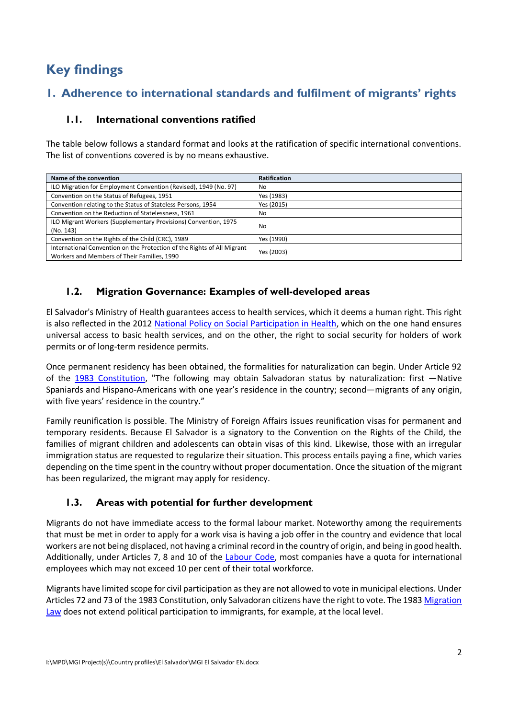# **Key findings**

## **1. Adherence to international standards and fulfilment of migrants' rights**

#### **1.1. International conventions ratified**

The table below follows a standard format and looks at the ratification of specific international conventions. The list of conventions covered is by no means exhaustive.

| Name of the convention                                                                                                 | <b>Ratification</b> |
|------------------------------------------------------------------------------------------------------------------------|---------------------|
| ILO Migration for Employment Convention (Revised), 1949 (No. 97)                                                       | No                  |
| Convention on the Status of Refugees, 1951                                                                             | Yes (1983)          |
| Convention relating to the Status of Stateless Persons, 1954                                                           | Yes (2015)          |
| Convention on the Reduction of Statelessness, 1961                                                                     | No.                 |
| ILO Migrant Workers (Supplementary Provisions) Convention, 1975<br>(No. 143)                                           | No                  |
| Convention on the Rights of the Child (CRC), 1989                                                                      | Yes (1990)          |
| International Convention on the Protection of the Rights of All Migrant<br>Workers and Members of Their Families, 1990 | Yes (2003)          |

#### **1.2. Migration Governance: Examples of well-developed areas**

El Salvador's Ministry of Health guarantees access to health services, which it deems a human right. This right is also reflected in the 2012 [National Policy on Social Participation in Health,](http://asp.salud.gob.sv/regulacion/) which on the one hand ensures universal access to basic health services, and on the other, the right to social security for holders of work permits or of long-term residence permits.

Once permanent residency has been obtained, the formalities for naturalization can begin. Under Article 92 of the [1983 Constitution,](https://www.asamblea.gob.sv/decretos/details/249) "The following may obtain Salvadoran status by naturalization: first —Native Spaniards and Hispano-Americans with one year's residence in the country; second—migrants of any origin, with five years' residence in the country."

Family reunification is possible. The Ministry of Foreign Affairs issues reunification visas for permanent and temporary residents. Because El Salvador is a signatory to the Convention on the Rights of the Child, the families of migrant children and adolescents can obtain visas of this kind. Likewise, those with an irregular immigration status are requested to regularize their situation. This process entails paying a fine, which varies depending on the time spent in the country without proper documentation. Once the situation of the migrant has been regularized, the migrant may apply for residency.

#### **1.3. Areas with potential for further development**

Migrants do not have immediate access to the formal labour market. Noteworthy among the requirements that must be met in order to apply for a work visa is having a job offer in the country and evidence that local workers are not being displaced, not having a criminal record in the country of origin, and being in good health. Additionally, under Articles 7, 8 and 10 of the [Labour Code,](https://www.asamblea.gob.sv/) most companies have a quota for international employees which may not exceed 10 per cent of their total workforce.

Migrants have limited scope for civil participation as they are not allowed to vote in municipal elections. Under Articles 72 and 73 of the 1983 Constitution, only Salvadoran citizens have the right to vote. The 1983 [Migration](https://www.asamblea.gob.sv/sites/)  [Law](https://www.asamblea.gob.sv/sites/) does not extend political participation to immigrants, for example, at the local level.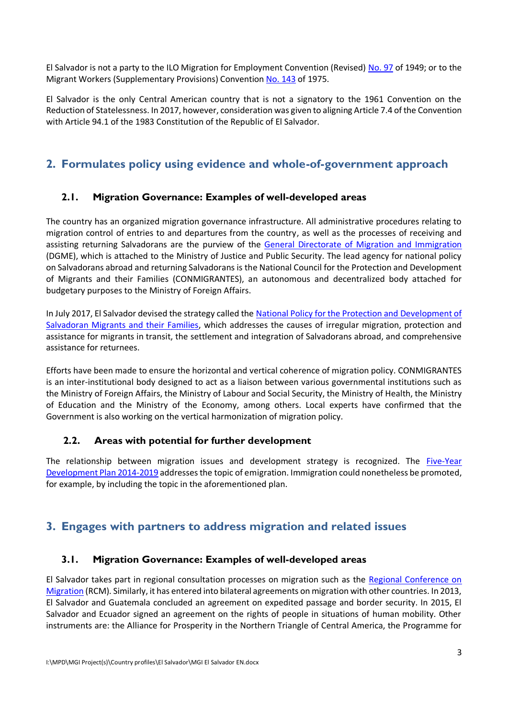El Salvador is not a party to the ILO Migration for Employment Convention (Revised) [No. 97](http://www.ilo.org/dyn/normlex/es/f?p=NORMLEXPUB:11300:0::NO::P11300_INSTRUMENT_ID:312242.) of 1949; or to the Migrant Workers (Supplementary Provisions) Convention [No. 143](http://www.ilo.org/dyn/normlex/es/f?p=NORMLEXPUB:11300:0::NO::P11300_INSTRUMENT_ID:312288.) of 1975.

El Salvador is the only Central American country that is not a signatory to the 1961 Convention on the Reduction of Statelessness. In 2017, however, consideration was given to aligning Article 7.4 of the Convention with Article 94.1 of the 1983 Constitution of the Republic of El Salvador.

## **2. Formulates policy using evidence and whole-of-government approach**

#### **2.1. Migration Governance: Examples of well-developed areas**

The country has an organized migration governance infrastructure. All administrative procedures relating to migration control of entries to and departures from the country, as well as the processes of receiving and assisting returning Salvadorans are the purview of the [General Directorate of Migration and Immigration](file://///172.23.34.12/berlinoffice/Projects/MGI/MGI%20phase%202/Country%20profiles/El%20Salvador/migracion.gob.sv) (DGME), which is attached to the Ministry of Justice and Public Security. The lead agency for national policy on Salvadorans abroad and returning Salvadorans is the National Council for the Protection and Development of Migrants and their Families (CONMIGRANTES), an autonomous and decentralized body attached for budgetary purposes to the Ministry of Foreign Affairs.

In July 2017, El Salvador devised the strategy called the [National Policy for the Protection and Development of](https://reliefweb.int/sites/reliefweb.int/files/resources/Politica%20Nacional%20para%20la%20Proteccion%20y%20Desarrollo%20de%20la%20Persona%20Migrante%20Salvadorena%20y%20su%20Familia.pdf)  [Salvadoran Migrants and their Families,](https://reliefweb.int/sites/reliefweb.int/files/resources/Politica%20Nacional%20para%20la%20Proteccion%20y%20Desarrollo%20de%20la%20Persona%20Migrante%20Salvadorena%20y%20su%20Familia.pdf) which addresses the causes of irregular migration, protection and assistance for migrants in transit, the settlement and integration of Salvadorans abroad, and comprehensive assistance for returnees.

Efforts have been made to ensure the horizontal and vertical coherence of migration policy. CONMIGRANTES is an inter-institutional body designed to act as a liaison between various governmental institutions such as the Ministry of Foreign Affairs, the Ministry of Labour and Social Security, the Ministry of Health, the Ministry of Education and the Ministry of the Economy, among others. Local experts have confirmed that the Government is also working on the vertical harmonization of migration policy.

#### **2.2. Areas with potential for further development**

The relationship between migration issues and development strategy is recognized. The [Five-Year](http://www.presidencia.gob.sv/wp-content/uploads/2015/01/Plan-Quinquenal-de-Desarrollo.pdf.)  [Development Plan 2014-2019](http://www.presidencia.gob.sv/wp-content/uploads/2015/01/Plan-Quinquenal-de-Desarrollo.pdf.) addresses the topic of emigration. Immigration could nonetheless be promoted, for example, by including the topic in the aforementioned plan.

## **3. Engages with partners to address migration and related issues**

#### **3.1. Migration Governance: Examples of well-developed areas**

El Salvador takes part in regional consultation processes on migration such as the [Regional Conference on](http://www.crmsv.org/es)  [Migration](http://www.crmsv.org/es) (RCM). Similarly, it has entered into bilateral agreements on migration with other countries. In 2013, El Salvador and Guatemala concluded an agreement on expedited passage and border security. In 2015, El Salvador and Ecuador signed an agreement on the rights of people in situations of human mobility. Other instruments are: the Alliance for Prosperity in the Northern Triangle of Central America, the Programme for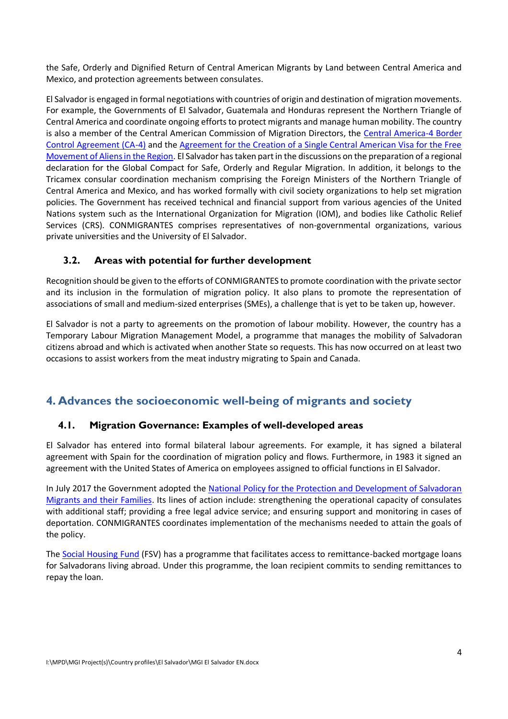the Safe, Orderly and Dignified Return of Central American Migrants by Land between Central America and Mexico, and protection agreements between consulates.

El Salvador is engaged in formal negotiations with countries of origin and destination of migration movements. For example, the Governments of El Salvador, Guatemala and Honduras represent the Northern Triangle of Central America and coordinate ongoing efforts to protect migrants and manage human mobility. The country is also a member of the Central American Commission of Migration Directors, the [Central America-4 Border](https://reddhmigrantes.files.wordpress.com/2014/06/acuerdo-regional-ca4.pdf.)  [Control Agreement \(CA-4\)](https://reddhmigrantes.files.wordpress.com/2014/06/acuerdo-regional-ca4.pdf.) and the [Agreement for the Creation of a Single Central American Visa for the Free](http://www.transparencia.gob.sv/institutions/dgme/documents/3123/download)  [Movement of Aliens in the Region.](http://www.transparencia.gob.sv/institutions/dgme/documents/3123/download) El Salvador has taken part in the discussions on the preparation of a regional declaration for the Global Compact for Safe, Orderly and Regular Migration. In addition, it belongs to the Tricamex consular coordination mechanism comprising the Foreign Ministers of the Northern Triangle of Central America and Mexico, and has worked formally with civil society organizations to help set migration policies. The Government has received technical and financial support from various agencies of the United Nations system such as the International Organization for Migration (IOM), and bodies like Catholic Relief Services (CRS). CONMIGRANTES comprises representatives of non-governmental organizations, various private universities and the University of El Salvador.

#### **3.2. Areas with potential for further development**

Recognition should be given to the efforts of CONMIGRANTES to promote coordination with the private sector and its inclusion in the formulation of migration policy. It also plans to promote the representation of associations of small and medium-sized enterprises (SMEs), a challenge that is yet to be taken up, however.

El Salvador is not a party to agreements on the promotion of labour mobility. However, the country has a Temporary Labour Migration Management Model, a programme that manages the mobility of Salvadoran citizens abroad and which is activated when another State so requests. This has now occurred on at least two occasions to assist workers from the meat industry migrating to Spain and Canada.

## **4. Advances the socioeconomic well-being of migrants and society**

#### **4.1. Migration Governance: Examples of well-developed areas**

El Salvador has entered into formal bilateral labour agreements. For example, it has signed a bilateral agreement with Spain for the coordination of migration policy and flows. Furthermore, in 1983 it signed an agreement with the United States of America on employees assigned to official functions in El Salvador.

In July 2017 the Government adopted the [National Policy for the Protection and Development of Salvadoran](https://goo.gl/ijLXfy.)  [Migrants and their Families.](https://goo.gl/ijLXfy.) Its lines of action include: strengthening the operational capacity of consulates with additional staff; providing a free legal advice service; and ensuring support and monitoring in cases of deportation. CONMIGRANTES coordinates implementation of the mechanisms needed to attain the goals of the policy.

The [Social Housing Fund](http://www.fsv.gob.sv/) (FSV) has a programme that facilitates access to remittance-backed mortgage loans for Salvadorans living abroad. Under this programme, the loan recipient commits to sending remittances to repay the loan.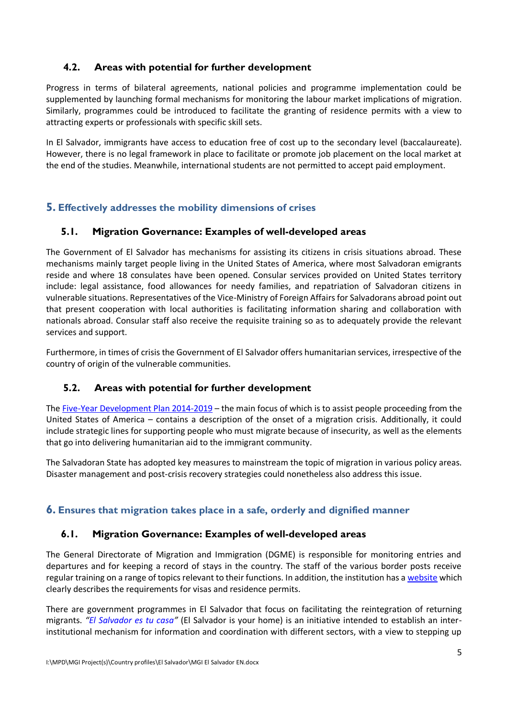#### **4.2. Areas with potential for further development**

Progress in terms of bilateral agreements, national policies and programme implementation could be supplemented by launching formal mechanisms for monitoring the labour market implications of migration. Similarly, programmes could be introduced to facilitate the granting of residence permits with a view to attracting experts or professionals with specific skill sets.

In El Salvador, immigrants have access to education free of cost up to the secondary level (baccalaureate). However, there is no legal framework in place to facilitate or promote job placement on the local market at the end of the studies. Meanwhile, international students are not permitted to accept paid employment.

#### **5. Effectively addresses the mobility dimensions of crises**

#### **5.1. Migration Governance: Examples of well-developed areas**

The Government of El Salvador has mechanisms for assisting its citizens in crisis situations abroad. These mechanisms mainly target people living in the United States of America, where most Salvadoran emigrants reside and where 18 consulates have been opened. Consular services provided on United States territory include: legal assistance, food allowances for needy families, and repatriation of Salvadoran citizens in vulnerable situations. Representatives of the Vice-Ministry of Foreign Affairs for Salvadorans abroad point out that present cooperation with local authorities is facilitating information sharing and collaboration with nationals abroad. Consular staff also receive the requisite training so as to adequately provide the relevant services and support.

Furthermore, in times of crisis the Government of El Salvador offers humanitarian services, irrespective of the country of origin of the vulnerable communities.

#### **5.2. Areas with potential for further development**

The [Five-Year Development Plan 2014-2019](http://www.presidencia.gob.sv/wp-content/uploads/2015/01/Plan-Quinquenal-de-Desarrollo.pdf.) – the main focus of which is to assist people proceeding from the United States of America – contains a description of the onset of a migration crisis. Additionally, it could include strategic lines for supporting people who must migrate because of insecurity, as well as the elements that go into delivering humanitarian aid to the immigrant community.

The Salvadoran State has adopted key measures to mainstream the topic of migration in various policy areas. Disaster management and post-crisis recovery strategies could nonetheless also address this issue.

#### **6. Ensures that migration takes place in a safe, orderly and dignified manner**

#### **6.1. Migration Governance: Examples of well-developed areas**

The General Directorate of Migration and Immigration (DGME) is responsible for monitoring entries and departures and for keeping a record of stays in the country. The staff of the various border posts receive regular training on a range of topics relevant to their functions. In addition, the institution has [a website](http://www.migracion.gob.sv/) which clearly describes the requirements for visas and residence permits.

There are government programmes in El Salvador that focus on facilitating the reintegration of returning migrants. *"[El Salvador es tu casa](https://rree.gob.sv/elsalvadorestucasa/)"* (El Salvador is your home) is an initiative intended to establish an interinstitutional mechanism for information and coordination with different sectors, with a view to stepping up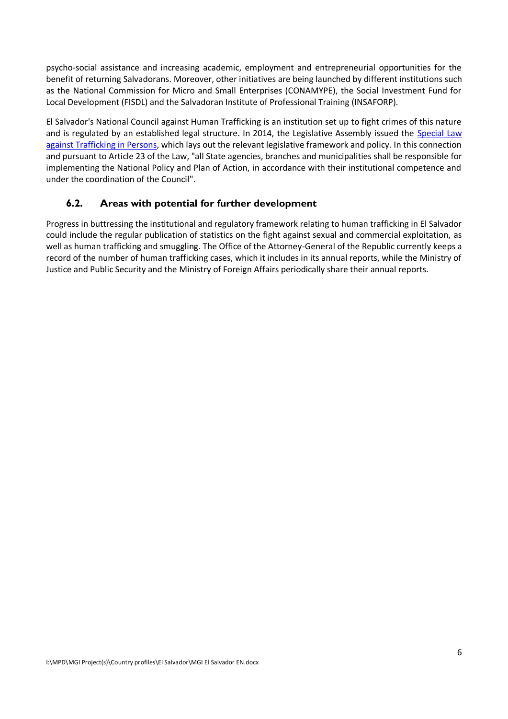psycho-social assistance and increasing academic, employment and entrepreneurial opportunities for the benefit of returning Salvadorans. Moreover, other initiatives are being launched by different institutions such as the National Commission for Micro and Small Enterprises (CONAMYPE), the Social Investment Fund for Local Development (FISDL) and the Salvadoran Institute of Professional Training (INSAFORP).

El Salvador's National Council against Human Trafficking is an institution set up to fight crimes of this nature and is regulated by an established legal structure. In 2014, the Legislative Assembly issued the [Special Law](https://www.asamblea.gob.sv/sites/default/files/documents/decretos/171117_073511571_archivo_documento_legislativo.pdf)  [against Trafficking in Persons,](https://www.asamblea.gob.sv/sites/default/files/documents/decretos/171117_073511571_archivo_documento_legislativo.pdf) which lays out the relevant legislative framework and policy. In this connection and pursuant to Article 23 of the Law, "all State agencies, branches and municipalities shall be responsible for implementing the National Policy and Plan of Action, in accordance with their institutional competence and under the coordination of the Council".

#### **6.2. Areas with potential for further development**

Progress in buttressing the institutional and regulatory framework relating to human trafficking in El Salvador could include the regular publication of statistics on the fight against sexual and commercial exploitation, as well as human trafficking and smuggling. The Office of the Attorney-General of the Republic currently keeps a record of the number of human trafficking cases, which it includes in its annual reports, while the Ministry of Justice and Public Security and the Ministry of Foreign Affairs periodically share their annual reports.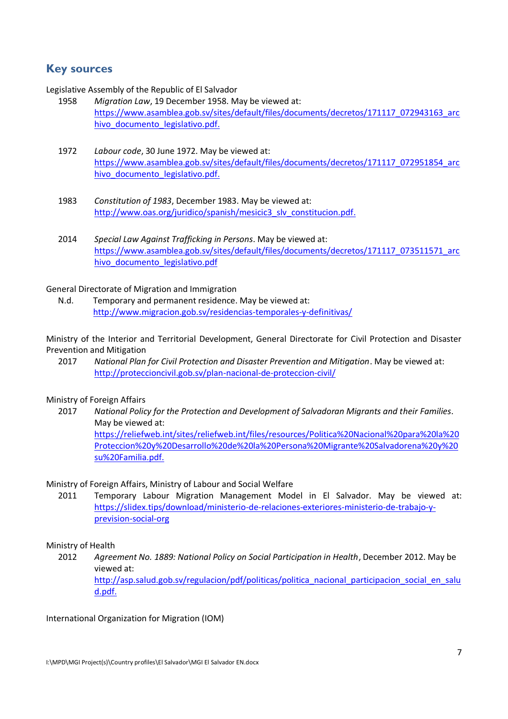### **Key sources**

Legislative Assembly of the Republic of El Salvador

- 1958 *Migration Law*, 19 December 1958. May be viewed at: [https://www.asamblea.gob.sv/sites/default/files/documents/decretos/171117\\_072943163\\_arc](https://www.asamblea.gob.sv/sites/default/files/documents/decretos/171117_072943163_archivo_documento_legislativo.pdf) hivo documento legislativo.pdf.
- 1972 *Labour code*, 30 June 1972. May be viewed at: [https://www.asamblea.gob.sv/sites/default/files/documents/decretos/171117\\_072951854\\_arc](https://www.asamblea.gob.sv/sites/default/files/documents/decretos/171117_072951854_archivo_documento_legislativo.pdf) hivo documento legislativo.pdf.
- 1983 *Constitution of 1983*, December 1983. May be viewed at: [http://www.oas.org/juridico/spanish/mesicic3\\_slv\\_constitucion.pdf.](http://www.oas.org/juridico/spanish/mesicic3_slv_constitucion.pdf)
- 2014 *Special Law Against Trafficking in Persons*. May be viewed at: [https://www.asamblea.gob.sv/sites/default/files/documents/decretos/171117\\_073511571\\_arc](https://www.asamblea.gob.sv/sites/default/files/documents/decretos/171117_073511571_archivo_documento_legislativo.pdf) hivo documento legislativo.pdf

#### General Directorate of Migration and Immigration

N.d. Temporary and permanent residence. May be viewed at: <http://www.migracion.gob.sv/residencias-temporales-y-definitivas/>

Ministry of the Interior and Territorial Development, General Directorate for Civil Protection and Disaster Prevention and Mitigation

2017 *National Plan for Civil Protection and Disaster Prevention and Mitigation*. May be viewed at: <http://proteccioncivil.gob.sv/plan-nacional-de-proteccion-civil/>

#### Ministry of Foreign Affairs

2017 *National Policy for the Protection and Development of Salvadoran Migrants and their Families*. May be viewed at: [https://reliefweb.int/sites/reliefweb.int/files/resources/Politica%20Nacional%20para%20la%20](https://reliefweb.int/sites/reliefweb.int/files/resources/Politica%20Nacional%20para%20la%20Proteccion%20y%20Desarrollo%20de%20la%20Persona%20Migrante%20Salvadorena%20y%20su%20Familia.pdf)

[Proteccion%20y%20Desarrollo%20de%20la%20Persona%20Migrante%20Salvadorena%20y%20](https://reliefweb.int/sites/reliefweb.int/files/resources/Politica%20Nacional%20para%20la%20Proteccion%20y%20Desarrollo%20de%20la%20Persona%20Migrante%20Salvadorena%20y%20su%20Familia.pdf) [su%20Familia.pdf.](https://reliefweb.int/sites/reliefweb.int/files/resources/Politica%20Nacional%20para%20la%20Proteccion%20y%20Desarrollo%20de%20la%20Persona%20Migrante%20Salvadorena%20y%20su%20Familia.pdf)

#### Ministry of Foreign Affairs, Ministry of Labour and Social Welfare

2011 Temporary Labour Migration Management Model in El Salvador. May be viewed at: [https://slidex.tips/download/ministerio-de-relaciones-exteriores-ministerio-de-trabajo-y](https://slidex.tips/download/ministerio-de-relaciones-exteriores-ministerio-de-trabajo-y-prevision-social-org)[prevision-social-org](https://slidex.tips/download/ministerio-de-relaciones-exteriores-ministerio-de-trabajo-y-prevision-social-org)

#### Ministry of Health

2012 *Agreement No. 1889: National Policy on Social Participation in Health*, December 2012. May be viewed at: [http://asp.salud.gob.sv/regulacion/pdf/politicas/politica\\_nacional\\_participacion\\_social\\_en\\_salu](http://asp.salud.gob.sv/regulacion/pdf/politicas/politica_nacional_participacion_social_en_salud.pdf) [d.pdf.](http://asp.salud.gob.sv/regulacion/pdf/politicas/politica_nacional_participacion_social_en_salud.pdf)

International Organization for Migration (IOM)